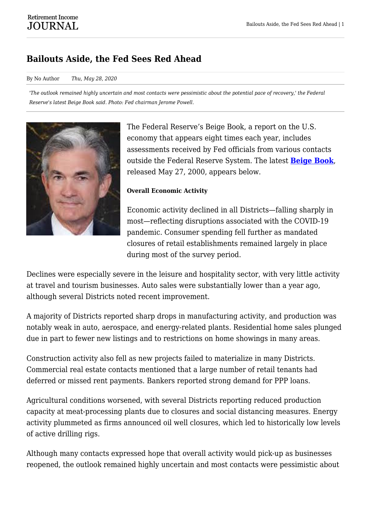# **Bailouts Aside, the Fed Sees Red Ahead**

#### By No Author *Thu, May 28, 2020*

*'The outlook remained highly uncertain and most contacts were pessimistic about the potential pace of recovery,' the Federal Reserve's latest Beige Book said. Photo: Fed chairman Jerome Powell.*



The Federal Reserve's Beige Book, a report on the U.S. economy that appears eight times each year, includes assessments received by Fed officials from various contacts outside the Federal Reserve System. The latest **[Beige Book](https://www.federalreserve.gov/monetarypolicy/beigebook202005.htm)**, released May 27, 2000, appears below.

#### **Overall Economic Activity**

Economic activity declined in all Districts—falling sharply in most—reflecting disruptions associated with the COVID-19 pandemic. Consumer spending fell further as mandated closures of retail establishments remained largely in place during most of the survey period.

Declines were especially severe in the leisure and hospitality sector, with very little activity at travel and tourism businesses. Auto sales were substantially lower than a year ago, although several Districts noted recent improvement.

A majority of Districts reported sharp drops in manufacturing activity, and production was notably weak in auto, aerospace, and energy-related plants. Residential home sales plunged due in part to fewer new listings and to restrictions on home showings in many areas.

Construction activity also fell as new projects failed to materialize in many Districts. Commercial real estate contacts mentioned that a large number of retail tenants had deferred or missed rent payments. Bankers reported strong demand for PPP loans.

Agricultural conditions worsened, with several Districts reporting reduced production capacity at meat-processing plants due to closures and social distancing measures. Energy activity plummeted as firms announced oil well closures, which led to historically low levels of active drilling rigs.

Although many contacts expressed hope that overall activity would pick-up as businesses reopened, the outlook remained highly uncertain and most contacts were pessimistic about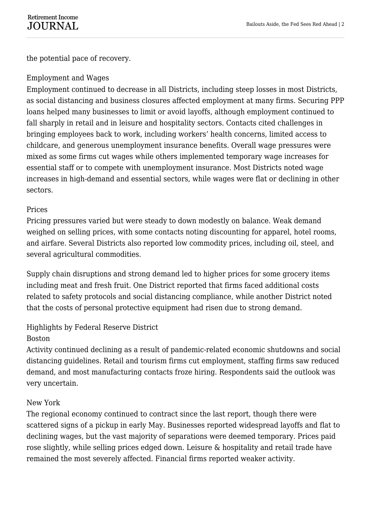the potential pace of recovery.

### Employment and Wages

Employment continued to decrease in all Districts, including steep losses in most Districts, as social distancing and business closures affected employment at many firms. Securing PPP loans helped many businesses to limit or avoid layoffs, although employment continued to fall sharply in retail and in leisure and hospitality sectors. Contacts cited challenges in bringing employees back to work, including workers' health concerns, limited access to childcare, and generous unemployment insurance benefits. Overall wage pressures were mixed as some firms cut wages while others implemented temporary wage increases for essential staff or to compete with unemployment insurance. Most Districts noted wage increases in high-demand and essential sectors, while wages were flat or declining in other sectors.

### Prices

Pricing pressures varied but were steady to down modestly on balance. Weak demand weighed on selling prices, with some contacts noting discounting for apparel, hotel rooms, and airfare. Several Districts also reported low commodity prices, including oil, steel, and several agricultural commodities.

Supply chain disruptions and strong demand led to higher prices for some grocery items including meat and fresh fruit. One District reported that firms faced additional costs related to safety protocols and social distancing compliance, while another District noted that the costs of personal protective equipment had risen due to strong demand.

## Highlights by Federal Reserve District

#### Boston

Activity continued declining as a result of pandemic-related economic shutdowns and social distancing guidelines. Retail and tourism firms cut employment, staffing firms saw reduced demand, and most manufacturing contacts froze hiring. Respondents said the outlook was very uncertain.

## New York

The regional economy continued to contract since the last report, though there were scattered signs of a pickup in early May. Businesses reported widespread layoffs and flat to declining wages, but the vast majority of separations were deemed temporary. Prices paid rose slightly, while selling prices edged down. Leisure & hospitality and retail trade have remained the most severely affected. Financial firms reported weaker activity.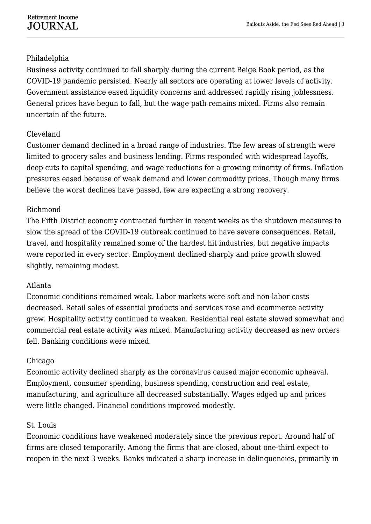### Philadelphia

Business activity continued to fall sharply during the current Beige Book period, as the COVID-19 pandemic persisted. Nearly all sectors are operating at lower levels of activity. Government assistance eased liquidity concerns and addressed rapidly rising joblessness. General prices have begun to fall, but the wage path remains mixed. Firms also remain uncertain of the future.

### Cleveland

Customer demand declined in a broad range of industries. The few areas of strength were limited to grocery sales and business lending. Firms responded with widespread layoffs, deep cuts to capital spending, and wage reductions for a growing minority of firms. Inflation pressures eased because of weak demand and lower commodity prices. Though many firms believe the worst declines have passed, few are expecting a strong recovery.

#### Richmond

The Fifth District economy contracted further in recent weeks as the shutdown measures to slow the spread of the COVID-19 outbreak continued to have severe consequences. Retail, travel, and hospitality remained some of the hardest hit industries, but negative impacts were reported in every sector. Employment declined sharply and price growth slowed slightly, remaining modest.

#### Atlanta

Economic conditions remained weak. Labor markets were soft and non-labor costs decreased. Retail sales of essential products and services rose and ecommerce activity grew. Hospitality activity continued to weaken. Residential real estate slowed somewhat and commercial real estate activity was mixed. Manufacturing activity decreased as new orders fell. Banking conditions were mixed.

#### Chicago

Economic activity declined sharply as the coronavirus caused major economic upheaval. Employment, consumer spending, business spending, construction and real estate, manufacturing, and agriculture all decreased substantially. Wages edged up and prices were little changed. Financial conditions improved modestly.

#### St. Louis

Economic conditions have weakened moderately since the previous report. Around half of firms are closed temporarily. Among the firms that are closed, about one-third expect to reopen in the next 3 weeks. Banks indicated a sharp increase in delinquencies, primarily in